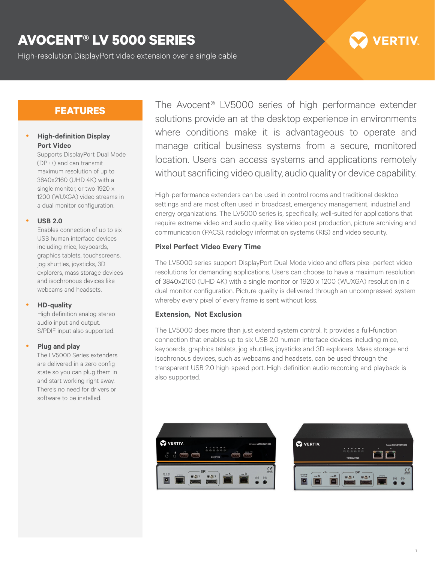## **AVOCENT® LV 5000 SERIES**

High-resolution DisplayPort video extension over a single cable

# **VERTIV**

## **FEATURES**

#### **High-definition Display Port Video**

Supports DisplayPort Dual Mode (DP++) and can transmit maximum resolution of up to 3840x2160 (UHD 4K) with a single monitor, or two 1920 x 1200 (WUXGA) video streams in a dual monitor configuration.

y **USB 2.0**

Enables connection of up to six USB human interface devices including mice, keyboards, graphics tablets, touchscreens, jog shuttles, joysticks, 3D explorers, mass storage devices and isochronous devices like webcams and headsets.

#### y **HD-quality**

High definition analog stereo audio input and output. S/PDIF input also supported.

#### y **Plug and play**

The LV5000 Series extenders are delivered in a zero config state so you can plug them in and start working right away. There's no need for drivers or software to be installed.

The Avocent® LV5000 series of high performance extender solutions provide an at the desktop experience in environments where conditions make it is advantageous to operate and manage critical business systems from a secure, monitored location. Users can access systems and applications remotely without sacrificing video quality, audio quality or device capability.

High-performance extenders can be used in control rooms and traditional desktop settings and are most often used in broadcast, emergency management, industrial and energy organizations. The LV5000 series is, specifically, well-suited for applications that require extreme video and audio quality, like video post production, picture archiving and communication (PACS), radiology information systems (RIS) and video security.

#### **Pixel Perfect Video Every Time**

The LV5000 series support DisplayPort Dual Mode video and offers pixel-perfect video resolutions for demanding applications. Users can choose to have a maximum resolution of 3840x2160 (UHD 4K) with a single monitor or 1920 x 1200 (WUXGA) resolution in a dual monitor configuration. Picture quality is delivered through an uncompressed system whereby every pixel of every frame is sent without loss.

#### **Extension, Not Exclusion**

The LV5000 does more than just extend system control. It provides a full-function connection that enables up to six USB 2.0 human interface devices including mice, keyboards, graphics tablets, jog shuttles, joysticks and 3D explorers. Mass storage and isochronous devices, such as webcams and headsets, can be used through the transparent USB 2.0 high-speed port. High-definition audio recording and playback is also supported.